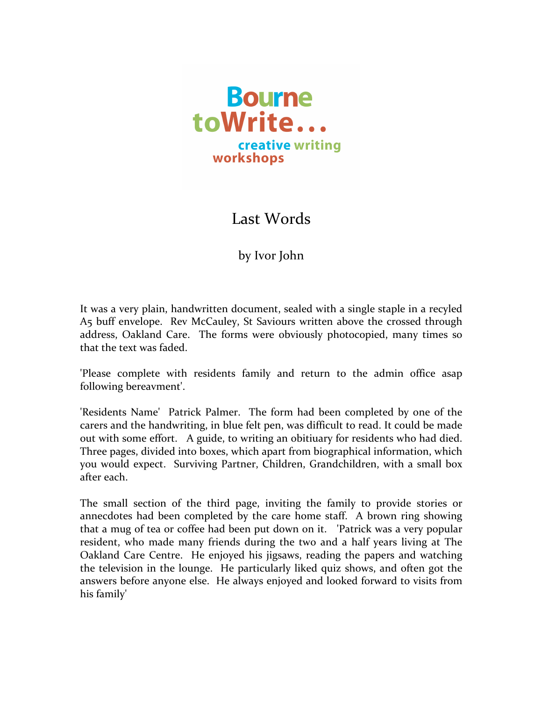

Last Words

by Ivor John

It was a very plain, handwritten document, sealed with a single staple in a recyled A5 buff envelope. Rev McCauley, St Saviours written above the crossed through address, Oakland Care. The forms were obviously photocopied, many times so that the text was faded.

'Please complete with residents family and return to the admin office asap following bereavment'.

'Residents Name' Patrick Palmer. The form had been completed by one of the carers and the handwriting, in blue felt pen, was difficult to read. It could be made out with some effort. A guide, to writing an obitiuary for residents who had died. Three pages, divided into boxes, which apart from biographical information, which you would expect. Surviving Partner, Children, Grandchildren, with a small box after each.

The small section of the third page, inviting the family to provide stories or annecdotes had been completed by the care home staff. A brown ring showing that a mug of tea or coffee had been put down on it. The Patrick was a very popular resident, who made many friends during the two and a half years living at The Oakland Care Centre. He enjoyed his jigsaws, reading the papers and watching the television in the lounge. He particularly liked quiz shows, and often got the answers before anyone else. He always enjoyed and looked forward to visits from his family'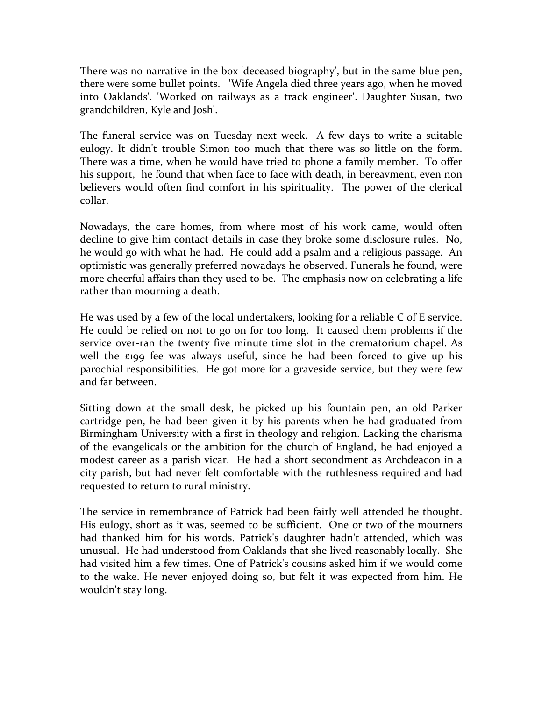There was no narrative in the box 'deceased biography', but in the same blue pen, there were some bullet points. 'Wife Angela died three years ago, when he moved into Oaklands'. 'Worked on railways as a track engineer'. Daughter Susan, two grandchildren, Kyle and Josh'.

The funeral service was on Tuesday next week. A few days to write a suitable eulogy. It didn't trouble Simon too much that there was so little on the form. There was a time, when he would have tried to phone a family member. To offer his support, he found that when face to face with death, in bereavment, even non believers would often find comfort in his spirituality. The power of the clerical collar. 

Nowadays, the care homes, from where most of his work came, would often decline to give him contact details in case they broke some disclosure rules. No, he would go with what he had. He could add a psalm and a religious passage. An optimistic was generally preferred nowadays he observed. Funerals he found, were more cheerful affairs than they used to be. The emphasis now on celebrating a life rather than mourning a death.

He was used by a few of the local undertakers, looking for a reliable  $C$  of E service. He could be relied on not to go on for too long. It caused them problems if the service over-ran the twenty five minute time slot in the crematorium chapel. As well the  $\epsilon$ 199 fee was always useful, since he had been forced to give up his parochial responsibilities. He got more for a graveside service, but they were few and far between.

Sitting down at the small desk, he picked up his fountain pen, an old Parker cartridge pen, he had been given it by his parents when he had graduated from Birmingham University with a first in theology and religion. Lacking the charisma of the evangelicals or the ambition for the church of England, he had enjoyed a modest career as a parish vicar. He had a short secondment as Archdeacon in a city parish, but had never felt comfortable with the ruthlesness required and had requested to return to rural ministry.

The service in remembrance of Patrick had been fairly well attended he thought. His eulogy, short as it was, seemed to be sufficient. One or two of the mourners had thanked him for his words. Patrick's daughter hadn't attended, which was unusual. He had understood from Oaklands that she lived reasonably locally. She had visited him a few times. One of Patrick's cousins asked him if we would come to the wake. He never enjoyed doing so, but felt it was expected from him. He wouldn't stay long.